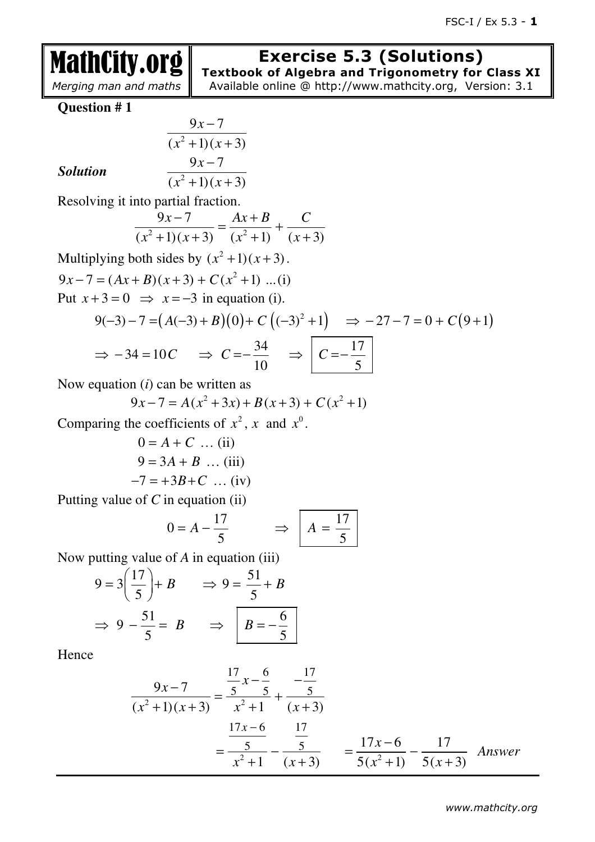# **Exercise 5.3 (Solutions)**

 *Merging man and maths*

**Textbook of Algebra and Trigonometry for Class XI**  Available online @ http://www.mathcity.org, Version: 3.1

**Question # 1**

MathCity.org

Solution 
$$
\frac{9x-7}{(x^2+1)(x+3)}
$$
  

$$
\frac{9x-7}{(x^2+1)(x+3)}
$$

### $Solution$

 $(x^2+1)(x+3)$ 

Resolving it into partial fraction.

$$
\frac{9x-7}{(x^2+1)(x+3)} = \frac{Ax+B}{(x^2+1)} + \frac{C}{(x+3)}
$$

Multiplying both sides by  $(x^2 + 1)(x + 3)$ .  $9x - 7 = (Ax + B)(x + 3) + C(x^2 + 1) \dots (i)$ Put  $x+3=0$   $\Rightarrow$   $x=-3$  in equation (i). 2

$$
9(-3) - 7 = (A(-3) + B)(0) + C((-3)^{2} + 1) \implies -27 - 7 = 0 + C(9 + 1)
$$
  

$$
\implies -34 = 10C \implies C = -\frac{34}{10} \implies C = -\frac{17}{5}
$$

Now equation (*i*) can be written as

$$
9x - 7 = A(x^2 + 3x) + B(x + 3) + C(x^2 + 1)
$$

Comparing the coefficients of  $x^2$ , x and  $x^0$ .

$$
0 = A + C \dots (ii)
$$
  
9 = 3A + B ... (iii)  
-7 = +3B + C ... (iv)

Putting value of *C* in equation (ii)

$$
0 = A - \frac{17}{5} \qquad \Rightarrow \qquad A = \frac{17}{5}
$$

Now putting value of *A* in equation (iii)

$$
9 = 3\left(\frac{17}{5}\right) + B \qquad \Rightarrow 9 = \frac{51}{5} + B
$$

$$
\Rightarrow 9 - \frac{51}{5} = B \qquad \Rightarrow \qquad \boxed{B = -\frac{6}{5}}
$$

$$
\frac{9x-7}{(x^2+1)(x+3)} = \frac{\frac{17}{5}x-\frac{6}{5}}{x^2+1} + \frac{\frac{17}{5}}{(x+3)}
$$

$$
= \frac{\frac{17x-6}{5}}{x^2+1} - \frac{\frac{17}{5}}{(x+3)} = \frac{17x-6}{5(x^2+1)} - \frac{17}{5(x+3)} \quad \text{Answer}
$$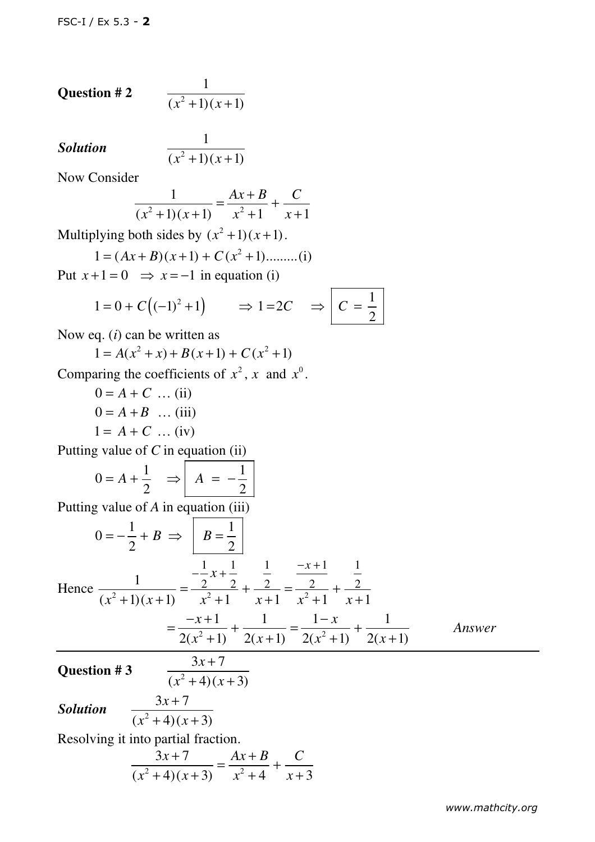**Question # 2** 
$$
\frac{1}{(x^2+1)(x+1)}
$$

### **Solution**

$$
\frac{1}{(x^2+1)(x+1)}
$$

Now Consider

$$
\frac{1}{(x^2+1)(x+1)} = \frac{Ax+B}{x^2+1} + \frac{C}{x+1}
$$

Multiplying both sides by  $(x^2 + 1)(x + 1)$ .

$$
1 = (Ax + B)(x + 1) + C(x2 + 1)...........
$$
(i)

Put  $x+1=0$   $\Rightarrow$   $x=-1$  in equation (i)

$$
1 = 0 + C((-1)^2 + 1) \qquad \Rightarrow 1 = 2C \qquad \Rightarrow \qquad C = \frac{1}{2}
$$

Now eq. (*i*) can be written as

 $1 = A(x^2 + x) + B(x+1) + C(x^2 + 1)$ 

Comparing the coefficients of  $x^2$ , x and  $x^0$ .

 $0 = A + C$  ... (ii)  $0 = A + B$  ... (iii)  $1 = A + C$  ... (iv)

Putting value of *C* in equation (ii)

$$
0 = A + \frac{1}{2} \Rightarrow A = -\frac{1}{2}
$$

Putting value of *A* in equation (iii)

$$
0 = -\frac{1}{2} + B \implies B = \frac{1}{2}
$$
  
Hence 
$$
\frac{1}{(x^2 + 1)(x + 1)} = \frac{-\frac{1}{2}x + \frac{1}{2}}{x^2 + 1} + \frac{\frac{1}{2}}{x + 1} = \frac{-x + 1}{x^2 + 1} + \frac{\frac{1}{2}}{x + 1}
$$

$$
= \frac{-x + 1}{2(x^2 + 1)} + \frac{1}{2(x + 1)} = \frac{1 - x}{2(x^2 + 1)} + \frac{1}{2(x + 1)}
$$
Answer

**Question #3** 

$$
(x^2+4)(x+3)
$$

*Solution* 

$$
i \quad \frac{3x+7}{(x^2+4)(x+3)}
$$

Resolving it into partial fraction.

$$
\frac{3x+7}{(x^2+4)(x+3)} = \frac{Ax+B}{x^2+4} + \frac{C}{x+3}
$$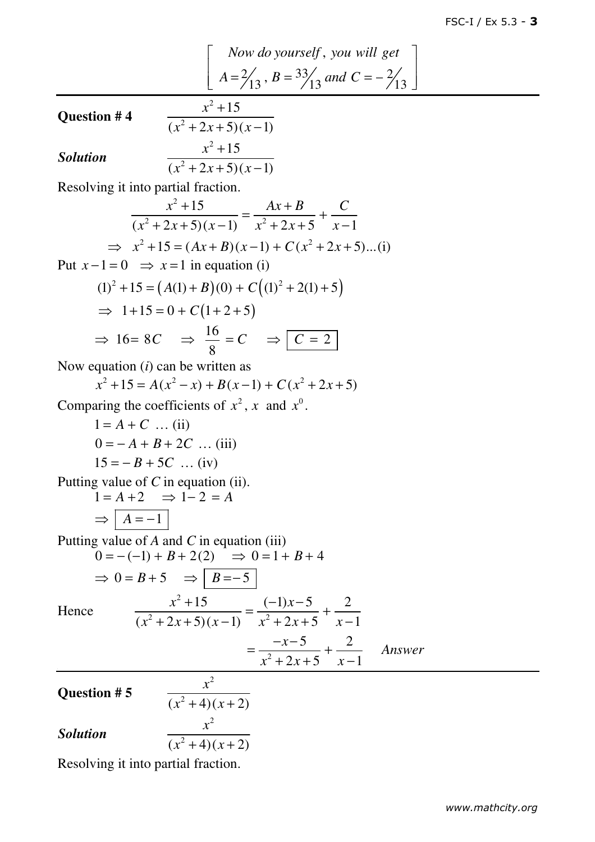Now do yourself, you will get  
\n
$$
A = \frac{2}{13}, B = \frac{33}{13}
$$
 and  $C = -\frac{2}{13}$ 

**Question # 4** 

$$
\frac{x^2+15}{(x^2+2x+5)(x-1)}
$$
  

$$
\frac{x^2+15}{(x^2+2x+5)(x-1)}
$$

*Solution*

Resolving it into partial fraction.

$$
\frac{x^2 + 15}{(x^2 + 2x + 5)(x - 1)} = \frac{Ax + B}{x^2 + 2x + 5} + \frac{C}{x - 1}
$$
  
\n
$$
\Rightarrow x^2 + 15 = (Ax + B)(x - 1) + C(x^2 + 2x + 5)...(i)
$$

Put  $x - 1 = 0 \implies x = 1$  in equation (i)

$$
(1)2 + 15 = (A(1) + B)(0) + C((1)2 + 2(1) + 5)
$$
  
\n⇒ 1+15 = 0 + C(1+2+5)  
\n⇒ 16= 8C ⇒  $\frac{16}{8}$  = C ⇒  $\boxed{C = 2}$ 

Now equation (*i*) can be written as

$$
x^{2} + 15 = A(x^{2} - x) + B(x - 1) + C(x^{2} + 2x + 5)
$$

Comparing the coefficients of  $x^2$ , x and  $x^0$ .

 $1 = A + C$  ... (ii)  $0 = -A + B + 2C$  … (iii)  $15 = -B + 5C$  … (iv)

Putting value of *C* in equation (ii).

$$
1 = A + 2 \implies 1 - 2 = A
$$
  

$$
\implies A = -1
$$

Putting value of *A* and *C* in equation (iii)

$$
0 = -(-1) + B + 2(2) \Rightarrow 0 = 1 + B + 4
$$

 $+15$   $(-1)x-$ 

$$
\Rightarrow 0 = B + 5 \Rightarrow B = -5
$$

Hence

$$
\frac{x^2+15}{(x^2+2x+5)(x-1)} = \frac{(-1)x-5}{x^2+2x+5} + \frac{2}{x-1}
$$

$$
= \frac{-x-5}{x^2+2x+5} + \frac{2}{x-1}
$$
 Answer

**Question # 5** 

$$
\frac{x^2}{(x^2+4)(x+2)}
$$

*Solution*

$$
\frac{x^2+4(x+2)}{x+2}
$$

Resolving it into partial fraction.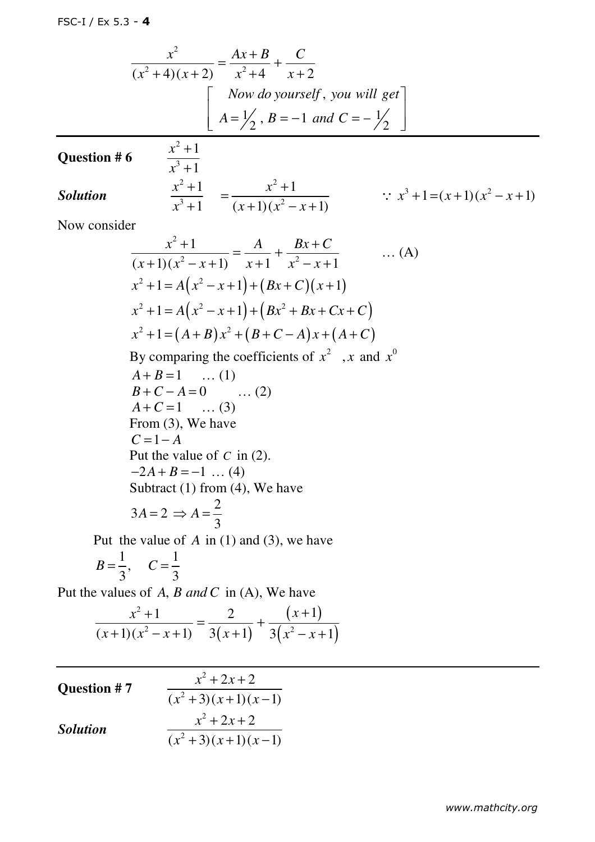$$
\frac{x^2}{(x^2+4)(x+2)} = \frac{Ax+B}{x^2+4} + \frac{C}{x+2}
$$
  
\nNow do yourself, you will get  
\n
$$
A = \frac{1}{2}, B = -1 \text{ and } C = -\frac{1}{2}
$$

### **Question # 6**

2 3

*x*

1

+

$$
\frac{x^3+1}{x^3+1} = \frac{x^2+1}{(x+1)(x^2-x+1)} \qquad \qquad \therefore \ x^3+1=(x+1)(x^2-x+1)
$$

Now consider

$$
\frac{x^2 + 1}{(x+1)(x^2 - x + 1)} = \frac{A}{x+1} + \frac{Bx + C}{x^2 - x + 1}
$$
 ... (A)  
\n
$$
x^2 + 1 = A(x^2 - x + 1) + (Bx + C)(x + 1)
$$
  
\n
$$
x^2 + 1 = A(x^2 - x + 1) + (Bx^2 + Bx + Cx + C)
$$
  
\n
$$
x^2 + 1 = (A + B)x^2 + (B + C - A)x + (A + C)
$$
  
\nBy comparing the coefficients of  $x^2$ , x and  $x^0$   
\n $A + B = 1$  ... (1)  
\n $B + C - A = 0$  ... (2)  
\n $A + C = 1$  ... (3)  
\nFrom (3), We have  
\n $C = 1 - A$   
\nPut the value of C in (2).  
\n $-2A + B = -1$  ... (4)  
\nSubtract (1) from (4), We have  
\n $3A = 2 \Rightarrow A = \frac{2}{3}$   
\nPut the value of A in (1) and (3), we have

$$
B=\frac{1}{3}, \quad C=\frac{1}{3}
$$

Put the values of *A*, *B* and *C* in (A), We have

$$
\frac{x^2+1}{(x+1)(x^2-x+1)} = \frac{2}{3(x+1)} + \frac{(x+1)}{3(x^2-x+1)}
$$

| <b>Question #7</b> | $x^2 + 2x + 2$      |
|--------------------|---------------------|
|                    | $(x^2+3)(x+1)(x-1)$ |
| <b>Solution</b>    | $x^2 + 2x + 2$      |
|                    | $(x^2+3)(x+1)(x-1)$ |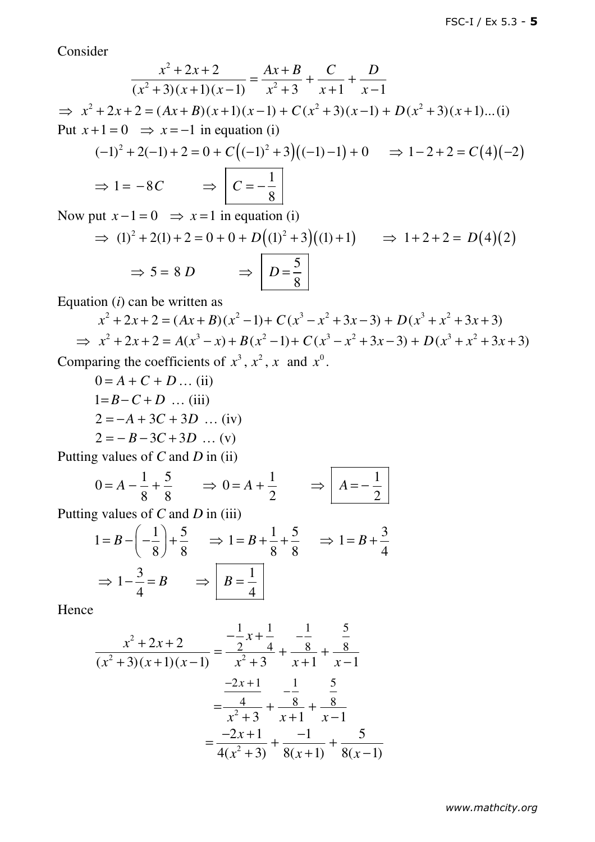Consider

$$
\frac{x^2 + 2x + 2}{(x^2 + 3)(x + 1)(x - 1)} = \frac{Ax + B}{x^2 + 3} + \frac{C}{x + 1} + \frac{D}{x - 1}
$$
  
\n⇒  $x^2 + 2x + 2 = (Ax + B)(x + 1)(x - 1) + C(x^2 + 3)(x - 1) + D(x^2 + 3)(x + 1)...(i)$   
\nPut  $x + 1 = 0$  ⇒  $x = -1$  in equation (i)  
\n $(-1)^2 + 2(-1) + 2 = 0 + C((-1)^2 + 3)((-1) - 1) + 0$  ⇒  $1 - 2 + 2 = C(4)(-2)$   
\n⇒  $1 = -8C$  ⇒ 
$$
\boxed{C = -\frac{1}{8}}
$$

Now put  $x-1=0$   $\Rightarrow$   $x=1$  in equation (i)

$$
\Rightarrow (1)^2 + 2(1) + 2 = 0 + 0 + D((1)^2 + 3)((1) + 1) \Rightarrow 1 + 2 + 2 = D(4)(2)
$$
  

$$
\Rightarrow 5 = 8 D \Rightarrow D = \frac{5}{8}
$$

Equation (*i*) can be written as

$$
x^{2} + 2x + 2 = (Ax + B)(x^{2} - 1) + C(x^{3} - x^{2} + 3x - 3) + D(x^{3} + x^{2} + 3x + 3)
$$
  
\n
$$
\Rightarrow x^{2} + 2x + 2 = A(x^{3} - x) + B(x^{2} - 1) + C(x^{3} - x^{2} + 3x - 3) + D(x^{3} + x^{2} + 3x + 3)
$$
  
\nComparing the coefficients of  $x^{3}$ ,  $x^{2}$ , x and  $x^{0}$ .

$$
0 = A + C + D ... (ii)
$$
  
\n
$$
1=B-C+D ... (iii)
$$
  
\n
$$
2 = -A + 3C + 3D ... (iv)
$$
  
\n
$$
2 = -B - 3C + 3D ... (v)
$$

Putting values of *C* and *D* in (ii)

$$
0 = A - \frac{1}{8} + \frac{5}{8} \qquad \Rightarrow 0 = A + \frac{1}{2} \qquad \Rightarrow \boxed{A = -\frac{1}{2}}
$$

Putting values of *C* and *D* in (iii)

$$
1 = B - \left(-\frac{1}{8}\right) + \frac{5}{8} \implies 1 = B + \frac{1}{8} + \frac{5}{8} \implies 1 = B + \frac{3}{4}
$$

$$
\implies 1 - \frac{3}{4} = B \implies B = \frac{1}{4}
$$

$$
\frac{x^2 + 2x + 2}{(x^2 + 3)(x + 1)(x - 1)} = \frac{-\frac{1}{2}x + \frac{1}{4}}{x^2 + 3} + \frac{-\frac{1}{8}}{x + 1} + \frac{\frac{5}{8}}{x - 1}
$$

$$
= \frac{-2x + 1}{x^2 + 3} + \frac{-\frac{1}{8}}{x + 1} + \frac{\frac{5}{8}}{x - 1}
$$

$$
= \frac{-2x + 1}{4(x^2 + 3)} + \frac{-1}{8(x + 1)} + \frac{5}{8(x - 1)}
$$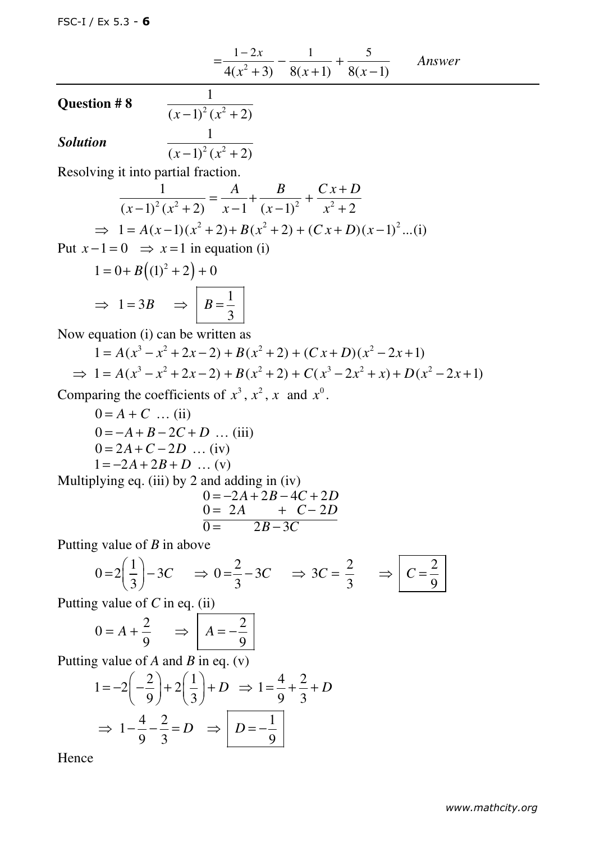$$
= \frac{1-2x}{4(x^2+3)} - \frac{1}{8(x+1)} + \frac{5}{8(x-1)}
$$
 Answer

Question # 8  $\frac{1}{(x-1)^2(x^2+2)}$ Solution  $\frac{1}{(x-1)^2(x^2)}$ 

1

 $(x-1)^2 (x^2 + 2)$ 

Resolving it into partial fraction.

$$
\frac{1}{(x-1)^2(x^2+2)} = \frac{A}{x-1} + \frac{B}{(x-1)^2} + \frac{Cx+D}{x^2+2}
$$
  
\n
$$
\Rightarrow 1 = A(x-1)(x^2+2) + B(x^2+2) + (Cx+D)(x-1)^2...(1)
$$

Put  $x - 1 = 0 \implies x = 1$  in equation (i)

$$
1 = 0 + B((1)^{2} + 2) + 0
$$
  
\n
$$
\Rightarrow 1 = 3B \Rightarrow B = \frac{1}{3}
$$

Now equation (i) can be written as

$$
1 = A(x3 - x2 + 2x - 2) + B(x2 + 2) + (Cx + D)(x2 - 2x + 1)
$$
  
\n
$$
\Rightarrow 1 = A(x3 - x2 + 2x - 2) + B(x2 + 2) + C(x3 - 2x2 + x) + D(x2 - 2x + 1)
$$

Comparing the coefficients of  $x^3$ ,  $x^2$ , x and  $x^0$ .

$$
0 = A + C \dots (ii)
$$
  
\n
$$
0 = -A + B - 2C + D \dots (iii)
$$
  
\n
$$
0 = 2A + C - 2D \dots (iv)
$$
  
\n
$$
1 = -2A + 2B + D \dots (v)
$$
  
\nMultiplying eq. (iii) by 2 and adding in (iv)

$$
0 = -2A + 2B - 4C + 2D
$$
  
\n
$$
0 = 2A + C - 2D
$$
  
\n
$$
0 = 2B - 3C
$$

Putting value of *B* in above

$$
0=2\left(\frac{1}{3}\right)-3C \Rightarrow 0=\frac{2}{3}-3C \Rightarrow 3C=\frac{2}{3} \Rightarrow C=\frac{2}{9}
$$

Putting value of *C* in eq. (ii)

$$
0 = A + \frac{2}{9} \qquad \Rightarrow \qquad A = -\frac{2}{9}
$$

Putting value of *A* and *B* in eq. (v)

$$
1 = -2\left(-\frac{2}{9}\right) + 2\left(\frac{1}{3}\right) + D \Rightarrow 1 = \frac{4}{9} + \frac{2}{3} + D
$$

$$
\Rightarrow 1 - \frac{4}{9} - \frac{2}{3} = D \Rightarrow D = -\frac{1}{9}
$$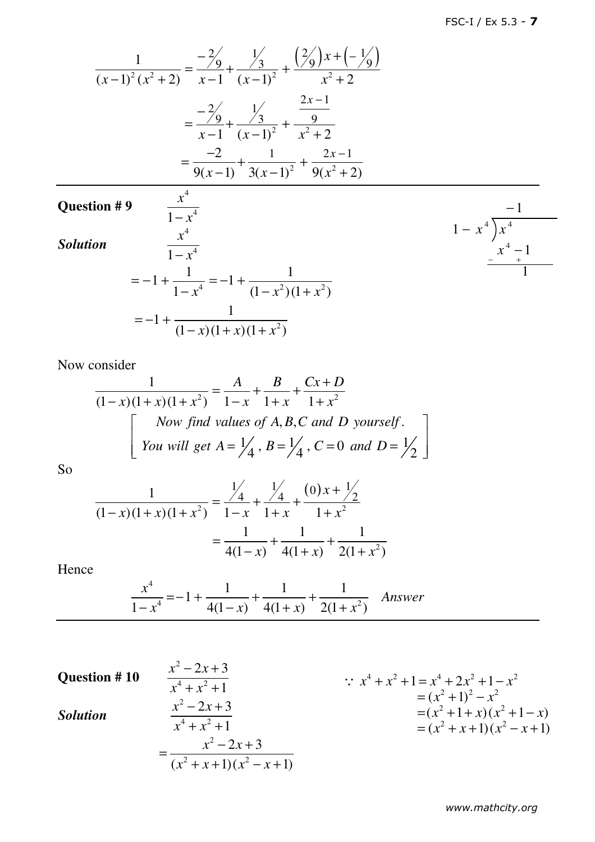$$
\frac{1}{(x-1)^2 (x^2+2)} = \frac{-\frac{2}{9}}{x-1} + \frac{\frac{1}{3}}{(x-1)^2} + \frac{\left(\frac{2}{9}\right)x + \left(-\frac{1}{9}\right)}{x^2+2}
$$

$$
= \frac{-\frac{2}{9}}{x-1} + \frac{\frac{1}{3}}{(x-1)^2} + \frac{\frac{2x-1}{9}}{x^2+2}
$$

$$
= \frac{-2}{9(x-1)} + \frac{1}{3(x-1)^2} + \frac{2x-1}{9(x^2+2)}
$$

## **Question # 9**

*Solution*

$$
\frac{x^4}{1-x^4}
$$
  
= -1 +  $\frac{1}{1-x^4}$  = -1 +  $\frac{1}{(1-x^2)(1+x^2)}$   
= -1 +  $\frac{1}{(1-x)(1+x)(1+x^2)}$ 

4

 $1 - x^4$ *x* − *x*

$$
\cfrac{-1}{1-x^4} - \frac{1}{x^4} - \cfrac{x^4 - 1}{1-x^4} - \cfrac{1}{1-x^4} - \cfrac{1}{1-x^4} - \cfrac{1}{1-x^4} - \cfrac{1}{1-x^4} - \cfrac{1}{1-x^4} - \cfrac{1}{1-x^4} - \cfrac{1}{1-x^4} - \cfrac{1}{1-x^4} - \cfrac{1}{1-x^4} - \cfrac{1}{1-x^4} - \cfrac{1}{1-x^4} - \cfrac{1}{1-x^4} - \cfrac{1}{1-x^4} - \cfrac{1}{1-x^4} - \cfrac{1}{1-x^4} - \cfrac{1}{1-x^4} - \cfrac{1}{1-x^4} - \cfrac{1}{1-x^4} - \cfrac{1}{1-x^4} - \cfrac{1}{1-x^4} - \cfrac{1}{1-x^4} - \cfrac{1}{1-x^4} - \cfrac{1}{1-x^4} - \cfrac{1}{1-x^4} - \cfrac{1}{1-x^4} - \cfrac{1}{1-x^4} - \cfrac{1}{1-x^4} - \cfrac{1}{1-x^4} - \cfrac{1}{1-x^4} - \cfrac{1}{1-x^4} - \cfrac{1}{1-x^4} - \cfrac{1}{1-x^4} - \cfrac{1}{1-x^4} - \cfrac{1}{1-x^4} - \cfrac{1}{1-x^4} - \cfrac{1}{1-x^4} - \cfrac{1}{1-x^4} - \cfrac{1}{1-x^4} - \cfrac{1}{1-x^4} - \cfrac{1}{1-x^4} - \cfrac{1}{1-x^4} - \cfrac{1}{1-x^4} - \cfrac{1}{1-x^4} - \cfrac{1}{1-x^4} - \cfrac{1}{1-x^4} - \cfrac{1}{1-x^4} - \cfrac{1}{1-x^4} - \cfrac{1}{1-x^4} - \cfrac{1}{1-x^4} - \cfrac{1}{1-x^4} - \cfrac{1}{1-x^4} - \cfrac{1}{1-x^4} - \cfrac{1}{1-x^4} - \cfrac{1}{1-x^4} - \cfrac{1}{1-x^4} - \cfrac{1}{1-x^4} - \cfrac{1}{1-x^4} - \cfrac{1}{1-x^4} - \cfrac{1}{1-x^4} - \cfrac{1}{1-x^4} - \c
$$

Now consider

$$
\frac{1}{(1-x)(1+x)(1+x^2)} = \frac{A}{1-x} + \frac{B}{1+x} + \frac{Cx+D}{1+x^2}
$$
  
\nNow find values of A, B, C and D yourself.  
\nYou will get A =  $\frac{1}{4}$ , B =  $\frac{1}{4}$ , C = 0 and D =  $\frac{1}{2}$ 

So

$$
\frac{1}{(1-x)(1+x)(1+x^2)} = \frac{\frac{1}{4}}{1-x} + \frac{\frac{1}{4}}{1+x} + \frac{(0)x+\frac{1}{2}}{1+x^2}
$$

$$
= \frac{1}{4(1-x)} + \frac{1}{4(1+x)} + \frac{1}{2(1+x^2)}
$$

$$
\frac{x^4}{1-x^4} = -1 + \frac{1}{4(1-x)} + \frac{1}{4(1+x)} + \frac{1}{2(1+x^2)}
$$
 Answer

**Question # 10**  2 4 2 2 3 1 *x x x x* − + + + *Solution* 2 4 2 2 3 1 *x x x x* − + + + 2 2 2 2 3 ( 1)( 1) *x x x x x x* − + = + + − + 4 2 4 2 2 2 2 2 2 2 2 2 1 2 1 ( 1) ( 1 )( 1 ) ( 1)( 1) *x x x x x x x x x x x x x x x* + + = + + − = + − = + + + − = + + − + ∵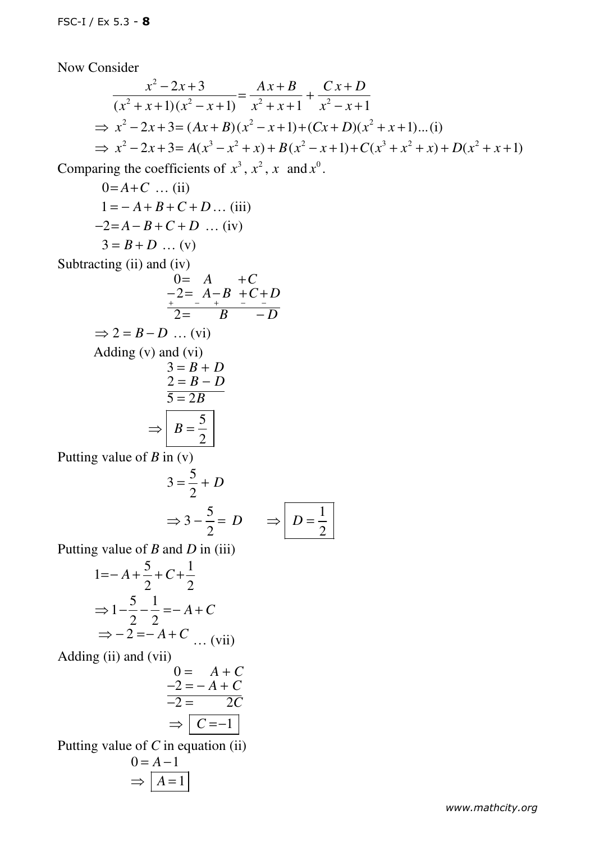Now Consider

$$
\frac{x^2 - 2x + 3}{(x^2 + x + 1)(x^2 - x + 1)} = \frac{Ax + B}{x^2 + x + 1} + \frac{Cx + D}{x^2 - x + 1}
$$
  
\n
$$
\Rightarrow x^2 - 2x + 3 = (Ax + B)(x^2 - x + 1) + (Cx + D)(x^2 + x + 1)...(i)
$$
  
\n
$$
\Rightarrow x^2 - 2x + 3 = A(x^3 - x^2 + x) + B(x^2 - x + 1) + C(x^3 + x^2 + x) + D(x^2 + x + 1)
$$

Comparing the coefficients of  $x^3$ ,  $x^2$ , x and  $x^0$ .

$$
0=A+C \dots (ii)
$$
  
\n
$$
1=-A+B+C+D \dots (iii)
$$
  
\n
$$
-2=A-B+C+D \dots (iv)
$$
  
\n
$$
3=B+D \dots (v)
$$

Subtracting (ii) and (iv)

$$
0= A + C
$$
  
\n
$$
-2= A - B + C + D
$$
  
\n
$$
\frac{1}{2} = B - D
$$
  
\n
$$
\Rightarrow 2 = B - D
$$
 ... (vi)  
\nAdding (v) and (vi)  
\n
$$
3 = B + D
$$
  
\n
$$
2 = B - D
$$
  
\n
$$
\frac{2}{5} = 2B
$$
  
\nPutting value of B in (v)  
\n
$$
\frac{5}{5}
$$

$$
3 = \frac{3}{2} + D
$$
  
\n
$$
\Rightarrow 3 - \frac{5}{2} = D \qquad \Rightarrow \boxed{D = \frac{1}{2}}
$$

Putting value of *B* and *D* in (iii)

$$
1=-A+\frac{5}{2}+C+\frac{1}{2}
$$
  
\n
$$
\Rightarrow 1-\frac{5}{2}-\frac{1}{2}=-A+C
$$
  
\n
$$
\Rightarrow -2=-A+C \dots \text{ (vii)}
$$
  
\nAdding (ii) and (vii)  
\n
$$
0=-A+C
$$
  
\n
$$
-2=-A+C
$$
  
\n
$$
-2=-A+C
$$
  
\n
$$
-2=-A+C
$$
  
\n
$$
-2=-A+C
$$
  
\n
$$
-2=-A+C
$$
  
\n
$$
-2=-A+C
$$
  
\n
$$
-2=-A+C
$$
  
\n
$$
-2=-A+C
$$
  
\n
$$
-2=-A+C
$$
  
\n
$$
-2=-A+C
$$
  
\n
$$
-2=-A+C
$$
  
\n
$$
-2=-A+C
$$
  
\n
$$
-2=-A+C
$$
  
\n
$$
-2=-A+C
$$
  
\n
$$
-2=-A+C
$$
  
\n
$$
-2=-A+C
$$
  
\n
$$
-2=-A+C
$$
  
\n
$$
-2=-A+C
$$
  
\n
$$
-2=-A+C
$$
  
\n
$$
-2=-A+C
$$
  
\n
$$
-2=-A+C
$$
  
\n
$$
-2=-A+C
$$
  
\n
$$
-2=-A+C
$$
  
\n
$$
-2=-A+C
$$
  
\n
$$
-2=-A+C
$$
  
\n
$$
-2=-A+C
$$
  
\n
$$
-2=-A+C
$$
  
\n
$$
-2=-A+C
$$
  
\n
$$
-2=-A+C
$$
  
\n
$$
-2=-A+C
$$
  
\n
$$
-2=-A+C
$$
  
\n
$$
-2=-A+C
$$
  
\n
$$
-2=-A+C
$$
  
\n
$$
-2=-A+C
$$
  
\n
$$
-2=-A+C
$$
  
\n
$$
-2=-A+C
$$
  
\n
$$
-2=-A+C
$$
  
\n
$$
-2=-A+C
$$
  
\n $$